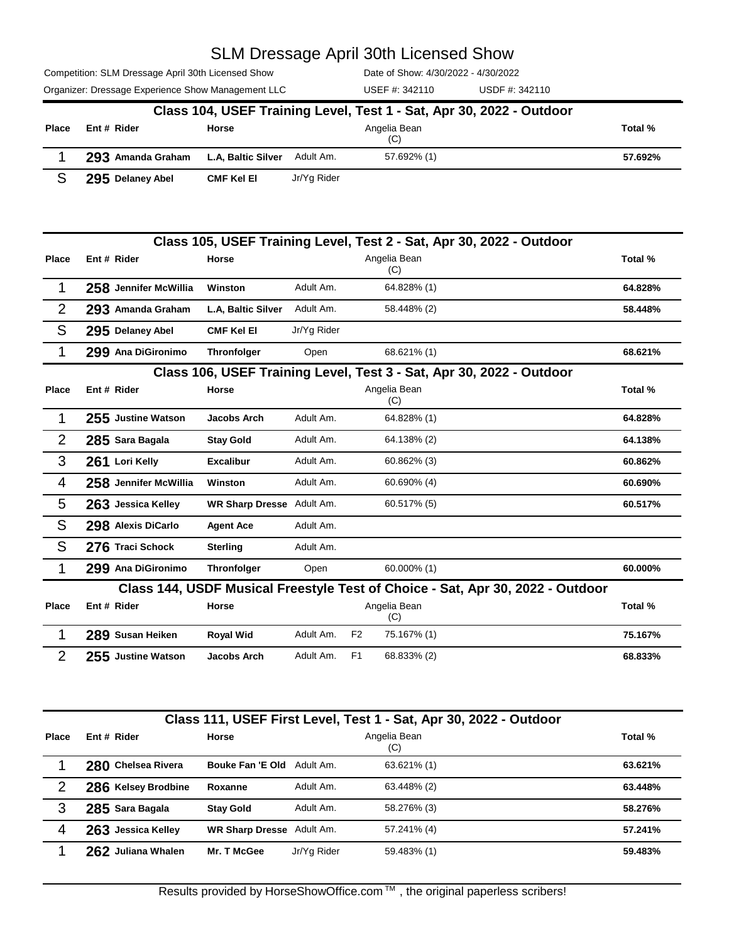Competition: SLM Dressage April 30th Licensed Show

Organizer: Dressage Experience Show Management LLC USEF #: 342110 USDF #: 342110

Date of Show: 4/30/2022 - 4/30/2022 USEF #: 342110

|              | Class 104, USEF Training Level, Test 1 - Sat, Apr 30, 2022 - Outdoor |              |             |                     |         |  |  |  |  |
|--------------|----------------------------------------------------------------------|--------------|-------------|---------------------|---------|--|--|--|--|
| <b>Place</b> | Ent # Rider                                                          | <b>Horse</b> |             | Angelia Bean<br>(C) | Total % |  |  |  |  |
|              | 293 Amanda Graham L.A, Baltic Silver Adult Am.                       |              |             | 57.692% (1)         | 57.692% |  |  |  |  |
|              | 295 Delaney Abel                                                     | CMF Kel El   | Jr/Yg Rider |                     |         |  |  |  |  |

|                | Class 105, USEF Training Level, Test 2 - Sat, Apr 30, 2022 - Outdoor |                       |                                  |             |                                                                                |         |  |  |
|----------------|----------------------------------------------------------------------|-----------------------|----------------------------------|-------------|--------------------------------------------------------------------------------|---------|--|--|
| <b>Place</b>   | Ent # Rider                                                          |                       | Horse                            |             | Angelia Bean<br>(C)                                                            | Total % |  |  |
| 1              |                                                                      | 258 Jennifer McWillia | Winston                          | Adult Am.   | 64.828% (1)                                                                    | 64.828% |  |  |
| $\overline{2}$ |                                                                      | 293 Amanda Graham     | L.A. Baltic Silver               | Adult Am.   | 58.448% (2)                                                                    | 58.448% |  |  |
| S              |                                                                      | 295 Delaney Abel      | <b>CMF Kel El</b>                | Jr/Yg Rider |                                                                                |         |  |  |
| 1              |                                                                      | 299 Ana DiGironimo    | <b>Thronfolger</b>               | Open        | 68.621% (1)                                                                    | 68.621% |  |  |
|                |                                                                      |                       |                                  |             | Class 106, USEF Training Level, Test 3 - Sat, Apr 30, 2022 - Outdoor           |         |  |  |
| Place          | Ent # Rider                                                          |                       | <b>Horse</b>                     |             | Angelia Bean<br>(C)                                                            | Total % |  |  |
| 1              |                                                                      | 255 Justine Watson    | <b>Jacobs Arch</b>               | Adult Am.   | 64.828% (1)                                                                    | 64.828% |  |  |
| $\overline{2}$ |                                                                      | 285 Sara Bagala       | <b>Stay Gold</b>                 | Adult Am.   | 64.138% (2)                                                                    | 64.138% |  |  |
| 3              |                                                                      | 261 Lori Kelly        | <b>Excalibur</b>                 | Adult Am.   | 60.862% (3)                                                                    | 60.862% |  |  |
| 4              |                                                                      | 258 Jennifer McWillia | Winston                          | Adult Am.   | 60.690% (4)                                                                    | 60.690% |  |  |
| 5              |                                                                      | 263 Jessica Kelley    | <b>WR Sharp Dresse</b> Adult Am. |             | 60.517% (5)                                                                    | 60.517% |  |  |
| S              |                                                                      | 298 Alexis DiCarlo    | <b>Agent Ace</b>                 | Adult Am.   |                                                                                |         |  |  |
| S              |                                                                      | 276 Traci Schock      | <b>Sterling</b>                  | Adult Am.   |                                                                                |         |  |  |
| 1              |                                                                      | 299 Ana DiGironimo    | <b>Thronfolger</b>               | Open        | 60.000% (1)                                                                    | 60.000% |  |  |
|                |                                                                      |                       |                                  |             | Class 144, USDF Musical Freestyle Test of Choice - Sat, Apr 30, 2022 - Outdoor |         |  |  |
| <b>Place</b>   | Ent # Rider                                                          |                       | Horse                            |             | Angelia Bean<br>(C)                                                            | Total % |  |  |
| 1              |                                                                      | 289 Susan Heiken      | <b>Royal Wid</b>                 | Adult Am.   | 75.167% (1)<br>F <sub>2</sub>                                                  | 75.167% |  |  |
| $\overline{2}$ |                                                                      | 255 Justine Watson    | Jacobs Arch                      | Adult Am.   | F <sub>1</sub><br>68.833% (2)                                                  | 68.833% |  |  |

|              | Class 111, USEF First Level, Test 1 - Sat, Apr 30, 2022 - Outdoor |                           |             |                     |         |  |  |  |
|--------------|-------------------------------------------------------------------|---------------------------|-------------|---------------------|---------|--|--|--|
| <b>Place</b> | Ent # Rider                                                       | <b>Horse</b>              |             | Angelia Bean<br>(C) | Total % |  |  |  |
|              | 280 Chelsea Rivera                                                | Bouke Fan 'E Old          | Adult Am.   | 63.621% (1)         | 63.621% |  |  |  |
| 2            | 286 Kelsey Brodbine                                               | Roxanne                   | Adult Am.   | 63.448% (2)         | 63.448% |  |  |  |
| 3            | 285 Sara Bagala                                                   | <b>Stay Gold</b>          | Adult Am.   | 58.276% (3)         | 58.276% |  |  |  |
| 4            | 263 Jessica Kelley                                                | WR Sharp Dresse Adult Am. |             | 57.241% (4)         | 57.241% |  |  |  |
|              | 262 Juliana Whalen                                                | <b>Mr. T McGee</b>        | Jr/Yg Rider | 59.483% (1)         | 59.483% |  |  |  |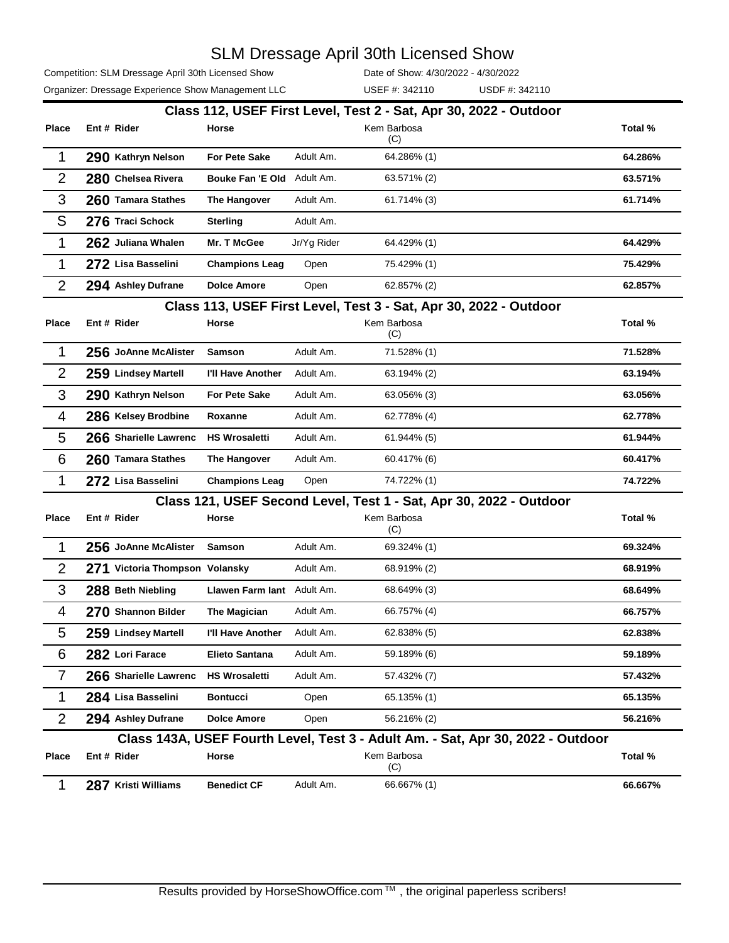Competition: SLM Dressage April 30th Licensed Show

Date of Show: 4/30/2022 - 4/30/2022

|                | Organizer: Dressage Experience Show Management LLC |                       |             | USEF #: 342110     | USDF #: 342110                                                     |         |
|----------------|----------------------------------------------------|-----------------------|-------------|--------------------|--------------------------------------------------------------------|---------|
|                |                                                    |                       |             |                    | Class 112, USEF First Level, Test 2 - Sat, Apr 30, 2022 - Outdoor  |         |
| <b>Place</b>   | Ent # Rider                                        | Horse                 |             | Kem Barbosa<br>(C) |                                                                    | Total % |
| 1              | 290 Kathryn Nelson                                 | <b>For Pete Sake</b>  | Adult Am.   | 64.286% (1)        |                                                                    | 64.286% |
| $\overline{2}$ | 280 Chelsea Rivera                                 | Bouke Fan 'E Old      | Adult Am.   | 63.571% (2)        |                                                                    | 63.571% |
| 3              | 260 Tamara Stathes                                 | The Hangover          | Adult Am.   | 61.714% (3)        |                                                                    | 61.714% |
| S              | 276 Traci Schock                                   | <b>Sterling</b>       | Adult Am.   |                    |                                                                    |         |
| 1              | 262 Juliana Whalen                                 | Mr. T McGee           | Jr/Yg Rider | 64.429% (1)        |                                                                    | 64.429% |
| 1              | 272 Lisa Basselini                                 | <b>Champions Leag</b> | Open        | 75.429% (1)        |                                                                    | 75.429% |
| $\overline{2}$ | 294 Ashley Dufrane                                 | <b>Dolce Amore</b>    | Open        | 62.857% (2)        |                                                                    | 62.857% |
|                |                                                    |                       |             |                    | Class 113, USEF First Level, Test 3 - Sat, Apr 30, 2022 - Outdoor  |         |
| <b>Place</b>   | Ent # Rider                                        | Horse                 |             | Kem Barbosa<br>(C) |                                                                    | Total % |
| $\mathbf{1}$   | 256 JoAnne McAlister                               | <b>Samson</b>         | Adult Am.   | 71.528% (1)        |                                                                    | 71.528% |
| $\overline{2}$ | 259 Lindsey Martell                                | I'll Have Another     | Adult Am.   | 63.194% (2)        |                                                                    | 63.194% |
| 3              | 290 Kathryn Nelson                                 | <b>For Pete Sake</b>  | Adult Am.   | 63.056% (3)        |                                                                    | 63.056% |
| 4              | 286 Kelsey Brodbine                                | Roxanne               | Adult Am.   | 62.778% (4)        |                                                                    | 62.778% |
| 5              | 266 Sharielle Lawrenc                              | <b>HS Wrosaletti</b>  | Adult Am.   | 61.944% (5)        |                                                                    | 61.944% |
| 6              | 260 Tamara Stathes                                 | The Hangover          | Adult Am.   | 60.417% (6)        |                                                                    | 60.417% |
| 1              | 272 Lisa Basselini                                 | <b>Champions Leag</b> | Open        | 74.722% (1)        |                                                                    | 74.722% |
|                |                                                    |                       |             |                    | Class 121, USEF Second Level, Test 1 - Sat, Apr 30, 2022 - Outdoor |         |
| <b>Place</b>   | Ent # Rider                                        | Horse                 |             | Kem Barbosa<br>(C) |                                                                    | Total % |
| 1              | 256 JoAnne McAlister                               | <b>Samson</b>         | Adult Am.   | 69.324% (1)        |                                                                    | 69.324% |
| $\overline{2}$ | 271 Victoria Thompson Volansky                     |                       | Adult Am.   | 68.919% (2)        |                                                                    | 68.919% |

### **Class 143A, USEF Fourth Level, Test 3 - Adult Am. - Sat, Apr 30, 2022 - Outdoor**

| Place | Ent # Rider         | Horse              |           | Kem Barbosa<br>(C) | Total % |
|-------|---------------------|--------------------|-----------|--------------------|---------|
|       | 287 Kristi Williams | <b>Benedict CF</b> | Adult Am. | 66.667% (1)        | 66.667% |

 **288 Beth Niebling Llawen Farm Iant** Adult Am. 68.649% (3) **68.649% 270 Shannon Bilder The Magician** Adult Am. 66.757% (4) **66.757% 259 Lindsey Martell I'll Have Another** Adult Am. 62.838% (5) **62.838% 282 Lori Farace Elieto Santana** Adult Am. 59.189% (6) **59.189% 266 Sharielle Lawrenc HS Wrosaletti** Adult Am. 57.432% (7) **57.432% 284 Lisa Basselini Bontucci** Open 65.135% (1) **65.135% 294 Ashley Dufrane Dolce Amore** Open 56.216% (2) **56.216%**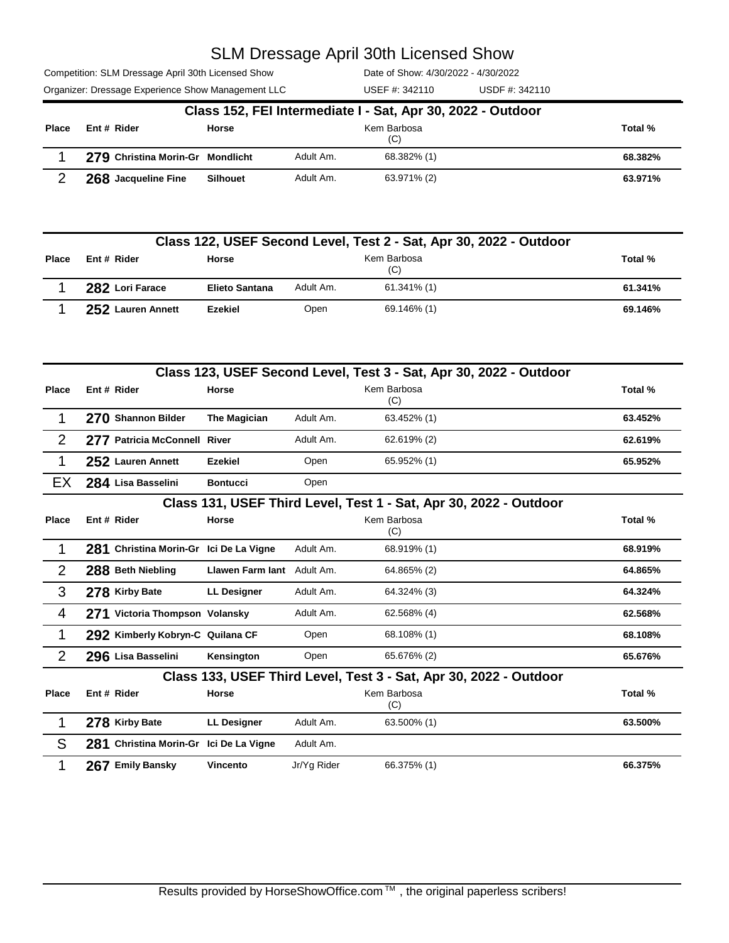Competition: SLM Dressage April 30th Licensed Show

Organizer: Dressage Experience Show Management LLC USEF #: 342110 USDF #: 342110

Date of Show: 4/30/2022 - 4/30/2022 USEF #: 342110

|              | Class 152, FEI Intermediate I - Sat, Apr 30, 2022 - Outdoor |                 |           |                    |         |  |  |  |  |
|--------------|-------------------------------------------------------------|-----------------|-----------|--------------------|---------|--|--|--|--|
| <b>Place</b> | Ent # Rider                                                 | <b>Horse</b>    |           | Kem Barbosa<br>(C) | Total % |  |  |  |  |
|              | 279 Christina Morin-Gr Mondlicht                            |                 | Adult Am. | 68.382% (1)        | 68.382% |  |  |  |  |
|              | 268 Jacqueline Fine                                         | <b>Silhouet</b> | Adult Am. | 63.971% (2)        | 63.971% |  |  |  |  |

|              | Class 122, USEF Second Level, Test 2 - Sat, Apr 30, 2022 - Outdoor |                       |           |                    |         |  |  |  |  |
|--------------|--------------------------------------------------------------------|-----------------------|-----------|--------------------|---------|--|--|--|--|
| <b>Place</b> | Ent # Rider                                                        | Horse                 |           | Kem Barbosa<br>(C) | Total % |  |  |  |  |
|              | 282 Lori Farace                                                    | <b>Elieto Santana</b> | Adult Am. | 61.341% (1)        | 61.341% |  |  |  |  |
|              | 252 Lauren Annett                                                  | Ezekiel               | Open      | 69.146% (1)        | 69.146% |  |  |  |  |

|                | Class 123, USEF Second Level, Test 3 - Sat, Apr 30, 2022 - Outdoor |                         |             |                                                                   |         |  |  |  |
|----------------|--------------------------------------------------------------------|-------------------------|-------------|-------------------------------------------------------------------|---------|--|--|--|
| <b>Place</b>   | Ent # Rider                                                        | <b>Horse</b>            |             | Kem Barbosa<br>(C)                                                | Total % |  |  |  |
| 1              | 270 Shannon Bilder                                                 | The Magician            | Adult Am.   | 63.452% (1)                                                       | 63.452% |  |  |  |
| $\overline{2}$ | 277 Patricia McConnell River                                       |                         | Adult Am.   | 62.619% (2)                                                       | 62.619% |  |  |  |
| 1              | 252 Lauren Annett                                                  | <b>Ezekiel</b>          | Open        | 65.952% (1)                                                       | 65.952% |  |  |  |
| EX             | 284 Lisa Basselini                                                 | <b>Bontucci</b>         | Open        |                                                                   |         |  |  |  |
|                |                                                                    |                         |             | Class 131, USEF Third Level, Test 1 - Sat, Apr 30, 2022 - Outdoor |         |  |  |  |
| <b>Place</b>   | Ent # Rider                                                        | Horse                   |             | Kem Barbosa<br>(C)                                                | Total % |  |  |  |
| 1              | 281 Christina Morin-Gr Ici De La Vigne                             |                         | Adult Am.   | 68.919% (1)                                                       | 68.919% |  |  |  |
| $\overline{2}$ | 288 Beth Niebling                                                  | <b>Llawen Farm lant</b> | Adult Am.   | 64.865% (2)                                                       | 64.865% |  |  |  |
| 3              | 278 Kirby Bate                                                     | <b>LL Designer</b>      | Adult Am.   | 64.324% (3)                                                       | 64.324% |  |  |  |
| 4              | 271 Victoria Thompson Volansky                                     |                         | Adult Am.   | 62.568% (4)                                                       | 62.568% |  |  |  |
| 1              | 292 Kimberly Kobryn-C Quilana CF                                   |                         | Open        | 68.108% (1)                                                       | 68.108% |  |  |  |
| $\overline{2}$ | 296 Lisa Basselini                                                 | Kensington              | Open        | 65.676% (2)                                                       | 65.676% |  |  |  |
|                |                                                                    |                         |             | Class 133, USEF Third Level, Test 3 - Sat, Apr 30, 2022 - Outdoor |         |  |  |  |
| <b>Place</b>   | Ent # Rider                                                        | Horse                   |             | Kem Barbosa<br>(C)                                                | Total % |  |  |  |
| 1              | 278 Kirby Bate                                                     | <b>LL Designer</b>      | Adult Am.   | 63.500% (1)                                                       | 63.500% |  |  |  |
| S              | 281 Christina Morin-Gr Ici De La Vigne                             |                         | Adult Am.   |                                                                   |         |  |  |  |
| 1              | 267 Emily Bansky                                                   | Vincento                | Jr/Yg Rider | 66.375% (1)                                                       | 66.375% |  |  |  |